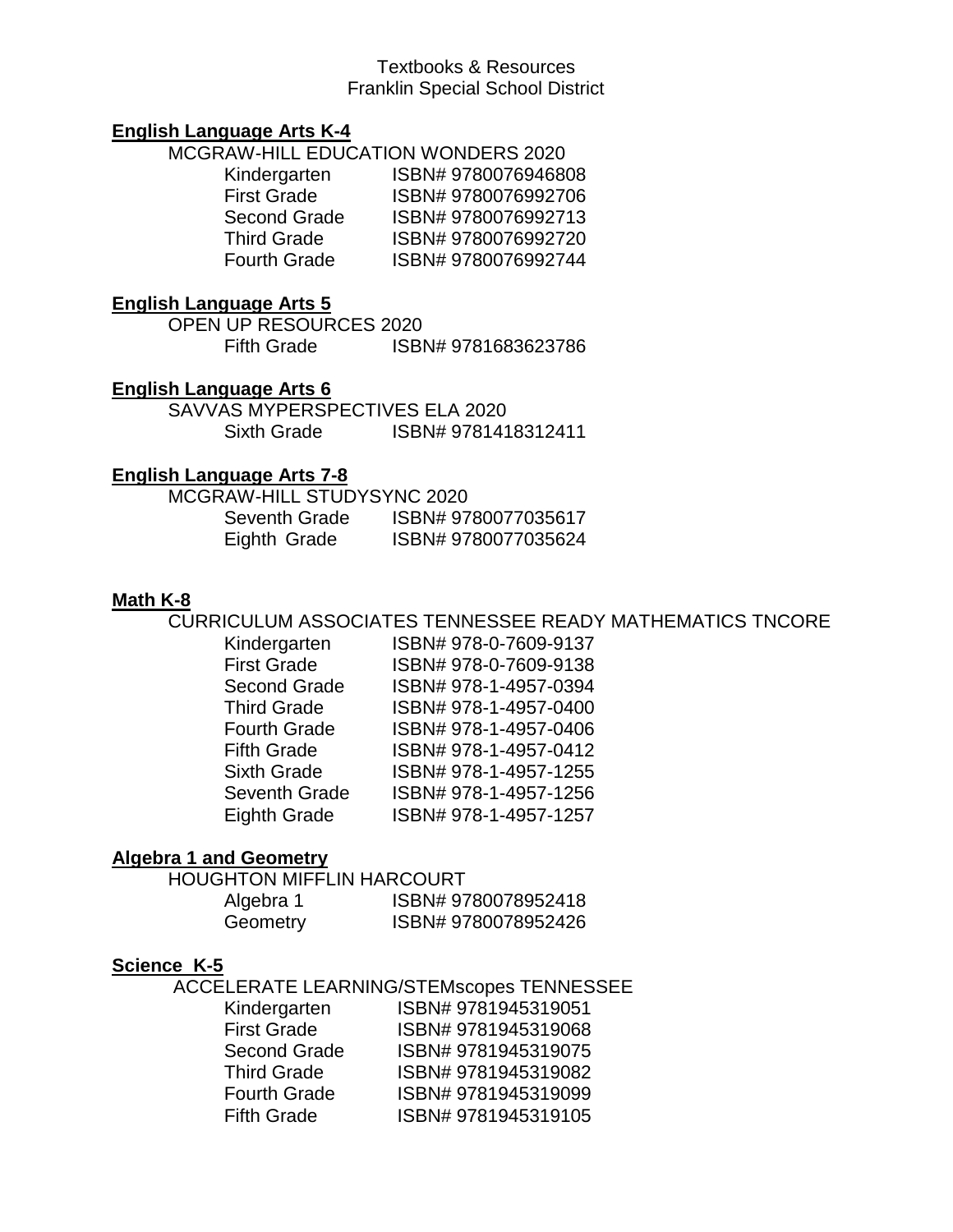### Textbooks & Resources Franklin Special School District

### **English Language Arts K-4**

MCGRAW-HILL EDUCATION WONDERS 2020

| ISBN#9780076946808 |
|--------------------|
| ISBN#9780076992706 |
| ISBN#9780076992713 |
| ISBN#9780076992720 |
| ISBN#9780076992744 |
|                    |

### **English Language Arts 5**

OPEN UP RESOURCES 2020 Fifth Grade ISBN# 9781683623786

### **English Language Arts 6**

SAVVAS MYPERSPECTIVES ELA 2020 Sixth Grade ISBN# 9781418312411

### **English Language Arts 7-8**

| MCGRAW-HILL STUDYSYNC 2020 |                    |
|----------------------------|--------------------|
| Seventh Grade              | ISBN#9780077035617 |
| Eighth Grade               | ISBN#9780077035624 |

#### **Math K-8**

CURRICULUM ASSOCIATES TENNESSEE READY MATHEMATICS TNCORE

| Kindergarten         | ISBN# 978-0-7609-9137 |
|----------------------|-----------------------|
| <b>First Grade</b>   | ISBN# 978-0-7609-9138 |
| <b>Second Grade</b>  | ISBN# 978-1-4957-0394 |
| <b>Third Grade</b>   | ISBN# 978-1-4957-0400 |
| <b>Fourth Grade</b>  | ISBN# 978-1-4957-0406 |
| <b>Fifth Grade</b>   | ISBN# 978-1-4957-0412 |
| <b>Sixth Grade</b>   | ISBN# 978-1-4957-1255 |
| <b>Seventh Grade</b> | ISBN# 978-1-4957-1256 |
| <b>Eighth Grade</b>  | ISBN# 978-1-4957-1257 |
|                      |                       |

#### **Algebra 1 and Geometry**

HOUGHTON MIFFLIN HARCOURT

| Algebra 1 | ISBN#9780078952418  |
|-----------|---------------------|
| Geometry  | ISBN# 9780078952426 |

#### **Science K-5**

ACCELERATE LEARNING/STEMscopes TENNESSEE

| Kindergarten        | ISBN# 9781945319051 |
|---------------------|---------------------|
| <b>First Grade</b>  | ISBN#9781945319068  |
| <b>Second Grade</b> | ISBN#9781945319075  |
| <b>Third Grade</b>  | ISBN#9781945319082  |
| <b>Fourth Grade</b> | ISBN#9781945319099  |
| <b>Fifth Grade</b>  | ISBN#9781945319105  |